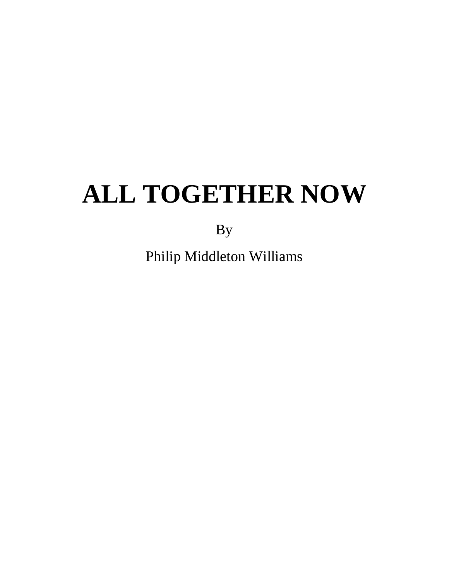By

Philip Middleton Williams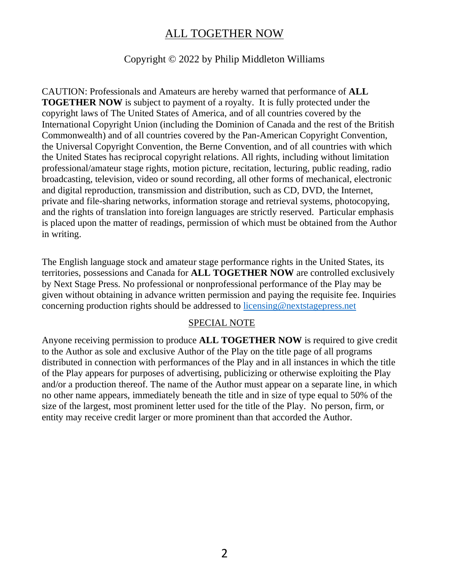#### Copyright © 2022 by Philip Middleton Williams

CAUTION: Professionals and Amateurs are hereby warned that performance of **ALL TOGETHER NOW** is subject to payment of a royalty. It is fully protected under the copyright laws of The United States of America, and of all countries covered by the International Copyright Union (including the Dominion of Canada and the rest of the British Commonwealth) and of all countries covered by the Pan-American Copyright Convention, the Universal Copyright Convention, the Berne Convention, and of all countries with which the United States has reciprocal copyright relations. All rights, including without limitation professional/amateur stage rights, motion picture, recitation, lecturing, public reading, radio broadcasting, television, video or sound recording, all other forms of mechanical, electronic and digital reproduction, transmission and distribution, such as CD, DVD, the Internet, private and file-sharing networks, information storage and retrieval systems, photocopying, and the rights of translation into foreign languages are strictly reserved. Particular emphasis is placed upon the matter of readings, permission of which must be obtained from the Author in writing.

The English language stock and amateur stage performance rights in the United States, its territories, possessions and Canada for **ALL TOGETHER NOW** are controlled exclusively by Next Stage Press. No professional or nonprofessional performance of the Play may be given without obtaining in advance written permission and paying the requisite fee. Inquiries concerning production rights should be addressed to licensing@nextstagepress.net

#### SPECIAL NOTE

Anyone receiving permission to produce **ALL TOGETHER NOW** is required to give credit to the Author as sole and exclusive Author of the Play on the title page of all programs distributed in connection with performances of the Play and in all instances in which the title of the Play appears for purposes of advertising, publicizing or otherwise exploiting the Play and/or a production thereof. The name of the Author must appear on a separate line, in which no other name appears, immediately beneath the title and in size of type equal to 50% of the size of the largest, most prominent letter used for the title of the Play. No person, firm, or entity may receive credit larger or more prominent than that accorded the Author.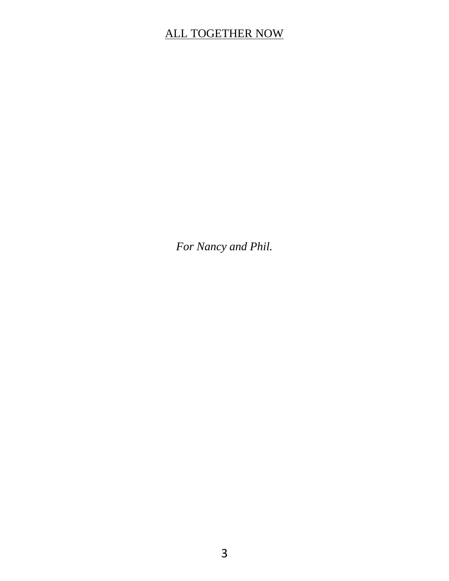*For Nancy and Phil.*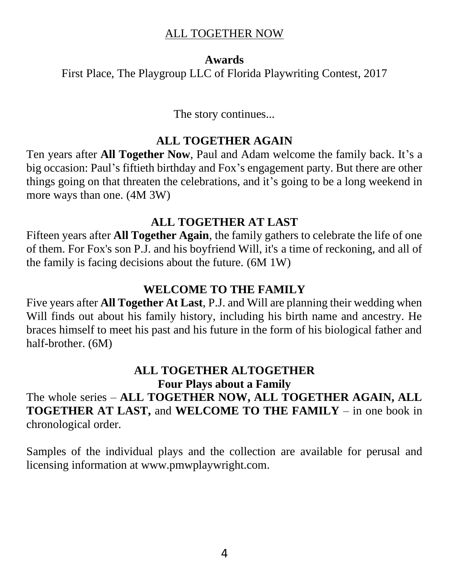#### **Awards**

First Place, The Playgroup LLC of Florida Playwriting Contest, 2017

The story continues...

#### **ALL TOGETHER AGAIN**

Ten years after **All Together Now**, Paul and Adam welcome the family back. It's a big occasion: Paul's fiftieth birthday and Fox's engagement party. But there are other things going on that threaten the celebrations, and it's going to be a long weekend in more ways than one. (4M 3W)

#### **ALL TOGETHER AT LAST**

Fifteen years after **All Together Again**, the family gathers to celebrate the life of one of them. For Fox's son P.J. and his boyfriend Will, it's a time of reckoning, and all of the family is facing decisions about the future. (6M 1W)

#### **WELCOME TO THE FAMILY**

Five years after **All Together At Last**, P.J. and Will are planning their wedding when Will finds out about his family history, including his birth name and ancestry. He braces himself to meet his past and his future in the form of his biological father and half-brother. (6M)

#### **ALL TOGETHER ALTOGETHER Four Plays about a Family**

The whole series – **ALL TOGETHER NOW, ALL TOGETHER AGAIN, ALL TOGETHER AT LAST,** and **WELCOME TO THE FAMILY** – in one book in chronological order.

Samples of the individual plays and the collection are available for perusal and licensing information at www.pmwplaywright.com.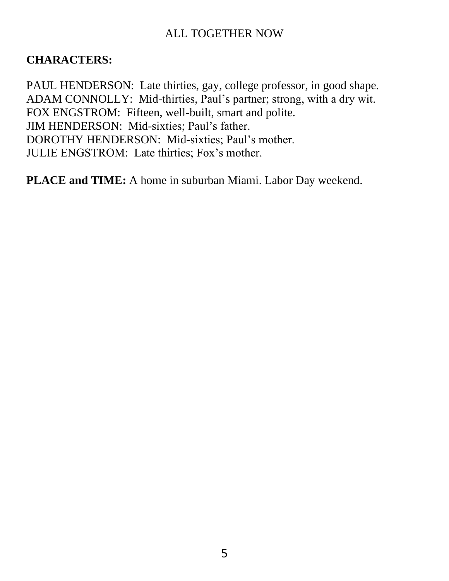#### **CHARACTERS:**

PAUL HENDERSON: Late thirties, gay, college professor, in good shape. ADAM CONNOLLY: Mid-thirties, Paul's partner; strong, with a dry wit. FOX ENGSTROM: Fifteen, well-built, smart and polite. JIM HENDERSON: Mid-sixties; Paul's father. DOROTHY HENDERSON: Mid-sixties; Paul's mother. JULIE ENGSTROM: Late thirties; Fox's mother.

**PLACE and TIME:** A home in suburban Miami. Labor Day weekend.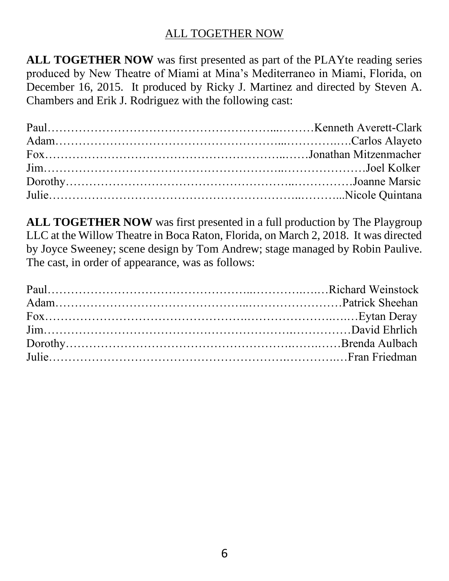**ALL TOGETHER NOW** was first presented as part of the PLAYte reading series produced by New Theatre of Miami at Mina's Mediterraneo in Miami, Florida, on December 16, 2015. It produced by Ricky J. Martinez and directed by Steven A. Chambers and Erik J. Rodriguez with the following cast:

**ALL TOGETHER NOW** was first presented in a full production by The Playgroup LLC at the Willow Theatre in Boca Raton, Florida, on March 2, 2018. It was directed by Joyce Sweeney; scene design by Tom Andrew; stage managed by Robin Paulive. The cast, in order of appearance, was as follows: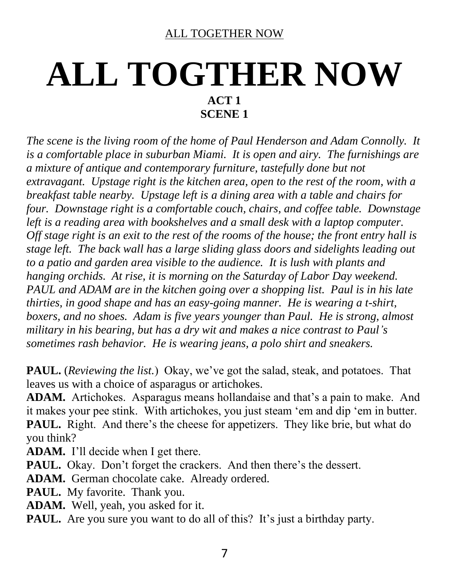# **ALL TOGTHER NOW ACT 1 SCENE 1**

*The scene is the living room of the home of Paul Henderson and Adam Connolly. It is a comfortable place in suburban Miami. It is open and airy. The furnishings are a mixture of antique and contemporary furniture, tastefully done but not extravagant. Upstage right is the kitchen area, open to the rest of the room, with a breakfast table nearby. Upstage left is a dining area with a table and chairs for four. Downstage right is a comfortable couch, chairs, and coffee table. Downstage*  left is a reading area with bookshelves and a small desk with a laptop computer. *Off stage right is an exit to the rest of the rooms of the house; the front entry hall is stage left. The back wall has a large sliding glass doors and sidelights leading out to a patio and garden area visible to the audience. It is lush with plants and hanging orchids. At rise, it is morning on the Saturday of Labor Day weekend. PAUL and ADAM are in the kitchen going over a shopping list. Paul is in his late thirties, in good shape and has an easy-going manner. He is wearing a t-shirt, boxers, and no shoes. Adam is five years younger than Paul. He is strong, almost military in his bearing, but has a dry wit and makes a nice contrast to Paul's sometimes rash behavior. He is wearing jeans, a polo shirt and sneakers.*

**PAUL.** (*Reviewing the list.*) Okay, we've got the salad, steak, and potatoes. That leaves us with a choice of asparagus or artichokes.

**ADAM.** Artichokes. Asparagus means hollandaise and that's a pain to make. And it makes your pee stink. With artichokes, you just steam 'em and dip 'em in butter. **PAUL.** Right. And there's the cheese for appetizers. They like brie, but what do you think?

**ADAM.** I'll decide when I get there.

**PAUL.** Okay. Don't forget the crackers. And then there's the dessert.

**ADAM.** German chocolate cake. Already ordered.

**PAUL.** My favorite. Thank you.

**ADAM.** Well, yeah, you asked for it.

**PAUL.** Are you sure you want to do all of this? It's just a birthday party.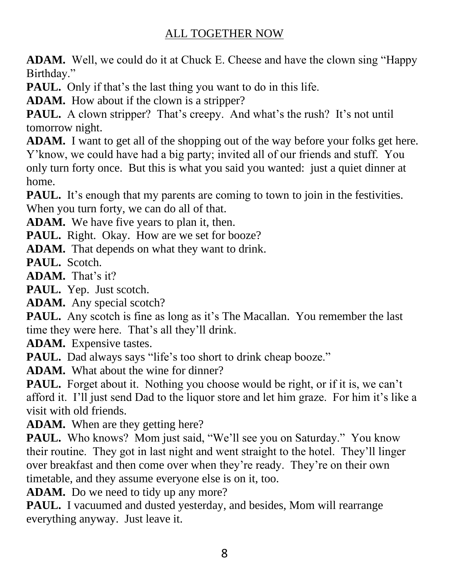**ADAM.** Well, we could do it at Chuck E. Cheese and have the clown sing "Happy Birthday."

**PAUL.** Only if that's the last thing you want to do in this life.

**ADAM.** How about if the clown is a stripper?

**PAUL.** A clown stripper? That's creepy. And what's the rush? It's not until tomorrow night.

**ADAM.** I want to get all of the shopping out of the way before your folks get here. Y'know, we could have had a big party; invited all of our friends and stuff. You only turn forty once. But this is what you said you wanted: just a quiet dinner at home.

**PAUL.** It's enough that my parents are coming to town to join in the festivities. When you turn forty, we can do all of that.

**ADAM.** We have five years to plan it, then.

PAUL. Right. Okay. How are we set for booze?

**ADAM.** That depends on what they want to drink.

**PAUL.** Scotch.

**ADAM.** That's it?

**PAUL.** Yep. Just scotch.

**ADAM.** Any special scotch?

**PAUL.** Any scotch is fine as long as it's The Macallan. You remember the last time they were here. That's all they'll drink.

**ADAM.** Expensive tastes.

**PAUL.** Dad always says "life's too short to drink cheap booze."

**ADAM.** What about the wine for dinner?

**PAUL.** Forget about it. Nothing you choose would be right, or if it is, we can't afford it. I'll just send Dad to the liquor store and let him graze. For him it's like a visit with old friends.

**ADAM.** When are they getting here?

PAUL. Who knows? Mom just said, "We'll see you on Saturday." You know their routine. They got in last night and went straight to the hotel. They'll linger over breakfast and then come over when they're ready. They're on their own timetable, and they assume everyone else is on it, too.

ADAM. Do we need to tidy up any more?

PAUL. I vacuumed and dusted yesterday, and besides, Mom will rearrange everything anyway. Just leave it.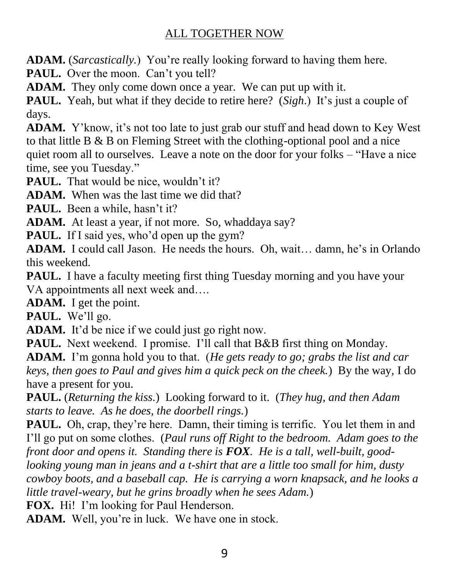**ADAM.** (*Sarcastically.*) You're really looking forward to having them here.

PAUL. Over the moon. Can't you tell?

**ADAM.** They only come down once a year. We can put up with it.

**PAUL.** Yeah, but what if they decide to retire here? (*Sigh*.) It's just a couple of days.

**ADAM.** Y'know, it's not too late to just grab our stuff and head down to Key West to that little B & B on Fleming Street with the clothing-optional pool and a nice quiet room all to ourselves. Leave a note on the door for your folks – "Have a nice time, see you Tuesday."

**PAUL.** That would be nice, wouldn't it?

**ADAM.** When was the last time we did that?

PAUL. Been a while, hasn't it?

ADAM. At least a year, if not more. So, whaddaya say?

**PAUL.** If I said yes, who'd open up the gym?

**ADAM.** I could call Jason. He needs the hours. Oh, wait… damn, he's in Orlando this weekend.

PAUL. I have a faculty meeting first thing Tuesday morning and you have your VA appointments all next week and….

**ADAM.** I get the point.

**PAUL.** We'll go.

ADAM. It'd be nice if we could just go right now.

**PAUL.** Next weekend. I promise. I'll call that B&B first thing on Monday.

**ADAM.** I'm gonna hold you to that. (*He gets ready to go; grabs the list and car keys, then goes to Paul and gives him a quick peck on the cheek.*) By the way, I do have a present for you.

**PAUL.** (*Returning the kiss.*) Looking forward to it. (*They hug, and then Adam starts to leave. As he does, the doorbell rings.*)

**PAUL.** Oh, crap, they're here. Damn, their timing is terrific. You let them in and I'll go put on some clothes. (*Paul runs off Right to the bedroom. Adam goes to the front door and opens it. Standing there is FOX. He is a tall, well-built, goodlooking young man in jeans and a t-shirt that are a little too small for him, dusty cowboy boots, and a baseball cap. He is carrying a worn knapsack, and he looks a little travel-weary, but he grins broadly when he sees Adam.*)

**FOX.** Hi! I'm looking for Paul Henderson.

**ADAM.** Well, you're in luck. We have one in stock.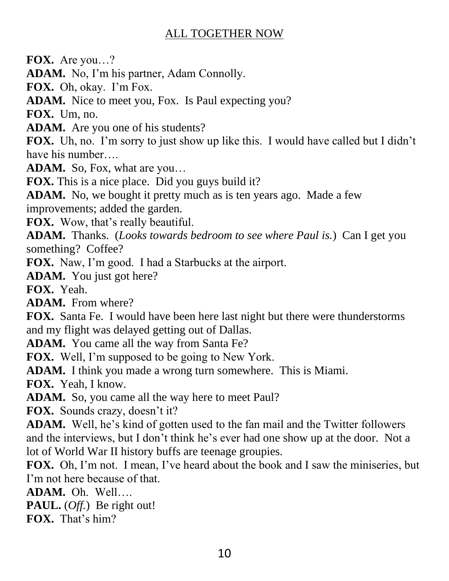**FOX.** Are you…?

**ADAM.** No, I'm his partner, Adam Connolly.

**FOX.** Oh, okay. I'm Fox.

**ADAM.** Nice to meet you, Fox. Is Paul expecting you?

**FOX.** Um, no.

**ADAM.** Are you one of his students?

**FOX.** Uh, no. I'm sorry to just show up like this. I would have called but I didn't have his number….

**ADAM.** So, Fox, what are you…

**FOX.** This is a nice place. Did you guys build it?

**ADAM.** No, we bought it pretty much as is ten years ago. Made a few improvements; added the garden.

**FOX.** Wow, that's really beautiful.

**ADAM.** Thanks. (*Looks towards bedroom to see where Paul is.*) Can I get you something? Coffee?

**FOX.** Naw, I'm good. I had a Starbucks at the airport.

**ADAM.** You just got here?

**FOX.** Yeah.

**ADAM.** From where?

**FOX.** Santa Fe. I would have been here last night but there were thunderstorms and my flight was delayed getting out of Dallas.

**ADAM.** You came all the way from Santa Fe?

**FOX.** Well, I'm supposed to be going to New York.

**ADAM.** I think you made a wrong turn somewhere. This is Miami.

**FOX.** Yeah, I know.

**ADAM.** So, you came all the way here to meet Paul?

**FOX.** Sounds crazy, doesn't it?

**ADAM.** Well, he's kind of gotten used to the fan mail and the Twitter followers and the interviews, but I don't think he's ever had one show up at the door. Not a lot of World War II history buffs are teenage groupies.

**FOX.** Oh, I'm not. I mean, I've heard about the book and I saw the miniseries, but I'm not here because of that.

**ADAM.** Oh. Well….

**PAUL.** (*Off.*) Be right out!

**FOX.** That's him?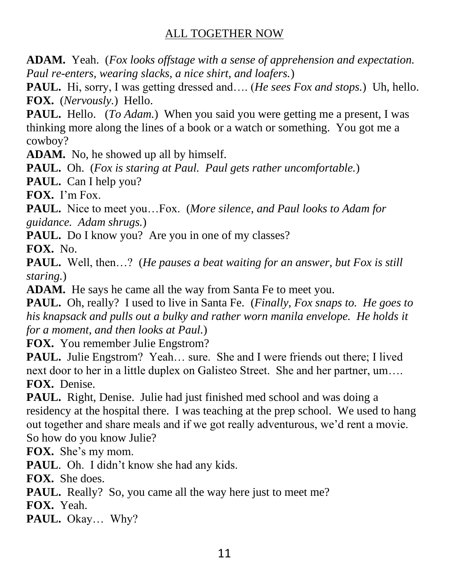**ADAM.** Yeah. (*Fox looks offstage with a sense of apprehension and expectation. Paul re-enters, wearing slacks, a nice shirt, and loafers.*)

**PAUL.** Hi, sorry, I was getting dressed and…. (*He sees Fox and stops.*) Uh, hello. **FOX.** (*Nervously.*) Hello.

**PAUL.** Hello. (*To Adam.*) When you said you were getting me a present, I was thinking more along the lines of a book or a watch or something. You got me a cowboy?

**ADAM.** No, he showed up all by himself.

**PAUL.** Oh. (*Fox is staring at Paul. Paul gets rather uncomfortable.*)

**PAUL.** Can I help you?

**FOX.** I'm Fox.

**PAUL.** Nice to meet you…Fox. (*More silence, and Paul looks to Adam for guidance. Adam shrugs.*)

**PAUL.** Do I know you? Are you in one of my classes?

**FOX.** No.

**PAUL.** Well, then…? (*He pauses a beat waiting for an answer, but Fox is still staring.*)

**ADAM.** He says he came all the way from Santa Fe to meet you.

**PAUL.** Oh, really? I used to live in Santa Fe. (*Finally, Fox snaps to. He goes to his knapsack and pulls out a bulky and rather worn manila envelope. He holds it for a moment, and then looks at Paul.*)

**FOX.** You remember Julie Engstrom?

**PAUL.** Julie Engstrom? Yeah... sure. She and I were friends out there; I lived next door to her in a little duplex on Galisteo Street. She and her partner, um…. **FOX.** Denise.

**PAUL.** Right, Denise. Julie had just finished med school and was doing a residency at the hospital there. I was teaching at the prep school. We used to hang out together and share meals and if we got really adventurous, we'd rent a movie. So how do you know Julie?

**FOX.** She's my mom.

**PAUL**. Oh. I didn't know she had any kids.

**FOX.** She does.

**PAUL.** Really? So, you came all the way here just to meet me?

**FOX.** Yeah.

**PAUL.** Okay… Why?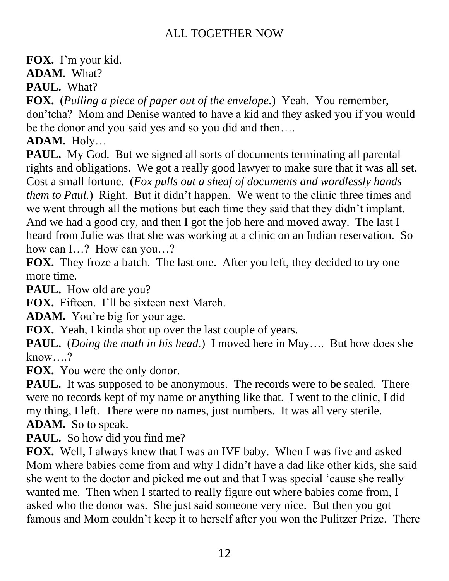**FOX.** I'm your kid.

**ADAM.** What?

**PAUL.** What?

**FOX.** (*Pulling a piece of paper out of the envelope.*) Yeah. You remember, don'tcha? Mom and Denise wanted to have a kid and they asked you if you would be the donor and you said yes and so you did and then….

**ADAM.** Holy…

**PAUL.** My God. But we signed all sorts of documents terminating all parental rights and obligations. We got a really good lawyer to make sure that it was all set. Cost a small fortune. (*Fox pulls out a sheaf of documents and wordlessly hands them to Paul.*) Right. But it didn't happen. We went to the clinic three times and we went through all the motions but each time they said that they didn't implant. And we had a good cry, and then I got the job here and moved away. The last I heard from Julie was that she was working at a clinic on an Indian reservation. So how can I…? How can you…?

**FOX.** They froze a batch. The last one. After you left, they decided to try one more time.

**PAUL.** How old are you?

**FOX.** Fifteen. I'll be sixteen next March.

**ADAM.** You're big for your age.

**FOX.** Yeah, I kinda shot up over the last couple of years.

**PAUL.** (*Doing the math in his head.*) I moved here in May…. But how does she know….?

**FOX.** You were the only donor.

**PAUL.** It was supposed to be anonymous. The records were to be sealed. There were no records kept of my name or anything like that. I went to the clinic, I did my thing, I left. There were no names, just numbers. It was all very sterile. **ADAM.** So to speak.

PAUL. So how did you find me?

**FOX.** Well, I always knew that I was an IVF baby. When I was five and asked Mom where babies come from and why I didn't have a dad like other kids, she said she went to the doctor and picked me out and that I was special 'cause she really wanted me. Then when I started to really figure out where babies come from, I asked who the donor was. She just said someone very nice. But then you got famous and Mom couldn't keep it to herself after you won the Pulitzer Prize. There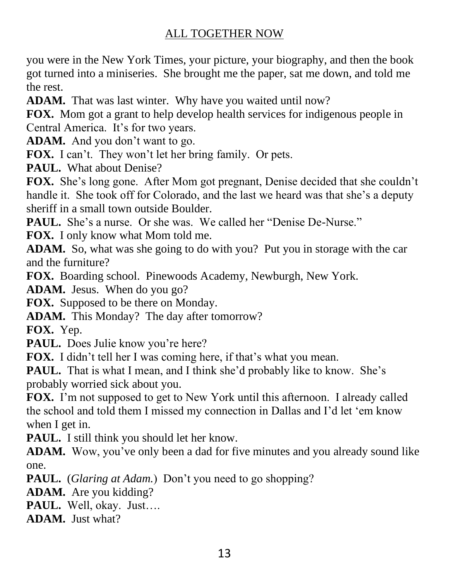you were in the New York Times, your picture, your biography, and then the book got turned into a miniseries. She brought me the paper, sat me down, and told me the rest.

**ADAM.** That was last winter. Why have you waited until now?

**FOX.** Mom got a grant to help develop health services for indigenous people in Central America. It's for two years.

**ADAM.** And you don't want to go.

**FOX.** I can't. They won't let her bring family. Or pets.

**PAUL.** What about Denise?

**FOX.** She's long gone. After Mom got pregnant, Denise decided that she couldn't handle it. She took off for Colorado, and the last we heard was that she's a deputy sheriff in a small town outside Boulder.

**PAUL.** She's a nurse. Or she was. We called her "Denise De-Nurse."

**FOX.** I only know what Mom told me.

**ADAM.** So, what was she going to do with you? Put you in storage with the car and the furniture?

**FOX.** Boarding school. Pinewoods Academy, Newburgh, New York.

**ADAM.** Jesus. When do you go?

**FOX.** Supposed to be there on Monday.

**ADAM.** This Monday? The day after tomorrow?

**FOX.** Yep.

PAUL. Does Julie know you're here?

**FOX.** I didn't tell her I was coming here, if that's what you mean.

**PAUL.** That is what I mean, and I think she'd probably like to know. She's probably worried sick about you.

**FOX.** I'm not supposed to get to New York until this afternoon. I already called the school and told them I missed my connection in Dallas and I'd let 'em know when I get in.

PAUL. I still think you should let her know.

**ADAM.** Wow, you've only been a dad for five minutes and you already sound like one.

**PAUL.** (*Glaring at Adam.*) Don't you need to go shopping?

**ADAM.** Are you kidding?

**PAUL.** Well, okay. Just….

**ADAM.** Just what?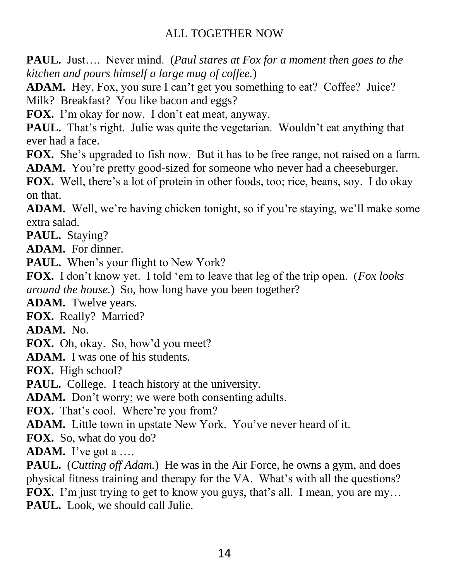**PAUL.** Just…. Never mind. (*Paul stares at Fox for a moment then goes to the kitchen and pours himself a large mug of coffee.*)

ADAM. Hey, Fox, you sure I can't get you something to eat? Coffee? Juice? Milk? Breakfast? You like bacon and eggs?

**FOX.** I'm okay for now. I don't eat meat, anyway.

**PAUL.** That's right. Julie was quite the vegetarian. Wouldn't eat anything that ever had a face.

**FOX.** She's upgraded to fish now. But it has to be free range, not raised on a farm. **ADAM.** You're pretty good-sized for someone who never had a cheeseburger.

**FOX.** Well, there's a lot of protein in other foods, too; rice, beans, soy. I do okay on that.

**ADAM.** Well, we're having chicken tonight, so if you're staying, we'll make some extra salad.

**PAUL.** Staying?

**ADAM.** For dinner.

PAUL. When's your flight to New York?

**FOX.** I don't know yet. I told 'em to leave that leg of the trip open. (*Fox looks around the house.*) So, how long have you been together?

**ADAM.** Twelve years.

**FOX.** Really? Married?

**ADAM.** No.

**FOX.** Oh, okay. So, how'd you meet?

**ADAM.** I was one of his students.

**FOX.** High school?

**PAUL.** College. I teach history at the university.

**ADAM.** Don't worry; we were both consenting adults.

FOX. That's cool. Where're you from?

**ADAM.** Little town in upstate New York. You've never heard of it.

**FOX.** So, what do you do?

**ADAM.** I've got a ….

**PAUL.** (*Cutting off Adam.*) He was in the Air Force, he owns a gym, and does physical fitness training and therapy for the VA. What's with all the questions? **FOX.** I'm just trying to get to know you guys, that's all. I mean, you are my... **PAUL.** Look, we should call Julie.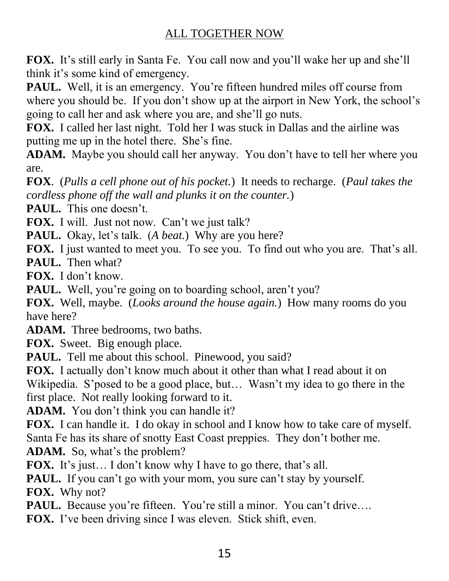**FOX.** It's still early in Santa Fe. You call now and you'll wake her up and she'll think it's some kind of emergency.

**PAUL.** Well, it is an emergency. You're fifteen hundred miles off course from where you should be. If you don't show up at the airport in New York, the school's going to call her and ask where you are, and she'll go nuts.

**FOX.** I called her last night. Told her I was stuck in Dallas and the airline was putting me up in the hotel there. She's fine.

**ADAM.** Maybe you should call her anyway. You don't have to tell her where you are.

**FOX**. (*Pulls a cell phone out of his pocket.*) It needs to recharge. (*Paul takes the cordless phone off the wall and plunks it on the counter.*)

**PAUL.** This one doesn't.

**FOX.** I will. Just not now. Can't we just talk?

**PAUL.** Okay, let's talk. (*A beat.*) Why are you here?

**FOX.** I just wanted to meet you. To see you. To find out who you are. That's all. **PAUL.** Then what?

**FOX.** I don't know.

**PAUL.** Well, you're going on to boarding school, aren't you?

**FOX.** Well, maybe. (*Looks around the house again.*) How many rooms do you have here?

**ADAM.** Three bedrooms, two baths.

**FOX.** Sweet. Big enough place.

**PAUL.** Tell me about this school. Pinewood, you said?

**FOX.** I actually don't know much about it other than what I read about it on Wikipedia. S'posed to be a good place, but… Wasn't my idea to go there in the first place. Not really looking forward to it.

**ADAM.** You don't think you can handle it?

**FOX.** I can handle it. I do okay in school and I know how to take care of myself. Santa Fe has its share of snotty East Coast preppies. They don't bother me.

**ADAM.** So, what's the problem?

**FOX.** It's just… I don't know why I have to go there, that's all.

**PAUL.** If you can't go with your mom, you sure can't stay by yourself.

**FOX.** Why not?

**PAUL.** Because you're fifteen. You're still a minor. You can't drive....

FOX. I've been driving since I was eleven. Stick shift, even.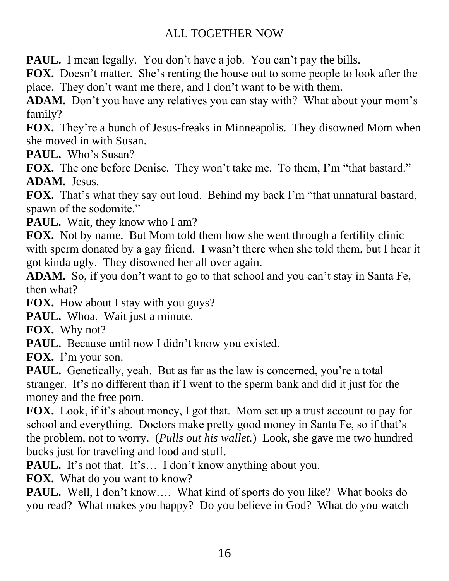PAUL. I mean legally. You don't have a job. You can't pay the bills.

**FOX.** Doesn't matter. She's renting the house out to some people to look after the place. They don't want me there, and I don't want to be with them.

**ADAM.** Don't you have any relatives you can stay with? What about your mom's family?

**FOX.** They're a bunch of Jesus-freaks in Minneapolis. They disowned Mom when she moved in with Susan.

**PAUL.** Who's Susan?

FOX. The one before Denise. They won't take me. To them, I'm "that bastard." **ADAM.** Jesus.

**FOX.** That's what they say out loud. Behind my back I'm "that unnatural bastard, spawn of the sodomite."

**PAUL.** Wait, they know who I am?

**FOX.** Not by name. But Mom told them how she went through a fertility clinic with sperm donated by a gay friend. I wasn't there when she told them, but I hear it got kinda ugly. They disowned her all over again.

**ADAM.** So, if you don't want to go to that school and you can't stay in Santa Fe, then what?

**FOX.** How about I stay with you guys?

PAUL. Whoa. Wait just a minute.

**FOX.** Why not?

**PAUL.** Because until now I didn't know you existed.

**FOX.** I'm your son.

**PAUL.** Genetically, yeah. But as far as the law is concerned, you're a total stranger. It's no different than if I went to the sperm bank and did it just for the money and the free porn.

**FOX.** Look, if it's about money, I got that. Mom set up a trust account to pay for school and everything. Doctors make pretty good money in Santa Fe, so if that's the problem, not to worry. (*Pulls out his wallet.*) Look, she gave me two hundred bucks just for traveling and food and stuff.

**PAUL.** It's not that. It's... I don't know anything about you.

**FOX.** What do you want to know?

PAUL. Well, I don't know.... What kind of sports do you like? What books do you read? What makes you happy? Do you believe in God? What do you watch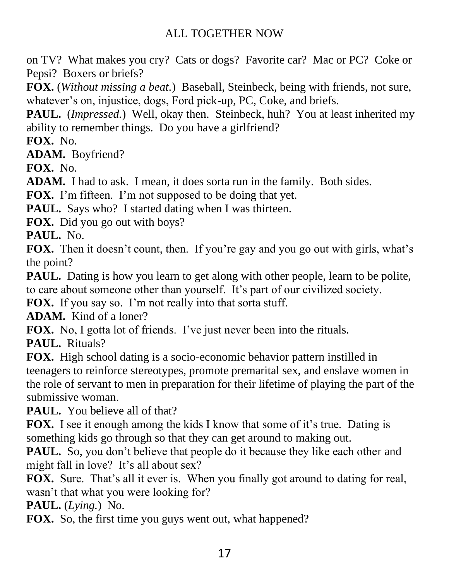on TV? What makes you cry? Cats or dogs? Favorite car? Mac or PC? Coke or Pepsi? Boxers or briefs?

**FOX.** (*Without missing a beat.*) Baseball, Steinbeck, being with friends, not sure, whatever's on, injustice, dogs, Ford pick-up, PC, Coke, and briefs.

**PAUL.** (*Impressed.*) Well, okay then. Steinbeck, huh? You at least inherited my ability to remember things. Do you have a girlfriend?

**FOX.** No.

**ADAM.** Boyfriend?

**FOX.** No.

**ADAM.** I had to ask. I mean, it does sorta run in the family. Both sides.

**FOX.** I'm fifteen. I'm not supposed to be doing that yet.

**PAUL.** Says who? I started dating when I was thirteen.

**FOX.** Did you go out with boys?

**PAUL.** No.

**FOX.** Then it doesn't count, then. If you're gay and you go out with girls, what's the point?

**PAUL.** Dating is how you learn to get along with other people, learn to be polite, to care about someone other than yourself. It's part of our civilized society.

**FOX.** If you say so. I'm not really into that sorta stuff.

**ADAM.** Kind of a loner?

**FOX.** No, I gotta lot of friends. I've just never been into the rituals.

**PAUL.** Rituals?

**FOX.** High school dating is a socio-economic behavior pattern instilled in teenagers to reinforce stereotypes, promote premarital sex, and enslave women in the role of servant to men in preparation for their lifetime of playing the part of the submissive woman.

**PAUL.** You believe all of that?

**FOX.** I see it enough among the kids I know that some of it's true. Dating is something kids go through so that they can get around to making out.

**PAUL.** So, you don't believe that people do it because they like each other and might fall in love? It's all about sex?

**FOX.** Sure. That's all it ever is. When you finally got around to dating for real, wasn't that what you were looking for?

**PAUL.** (*Lying.*) No.

**FOX.** So, the first time you guys went out, what happened?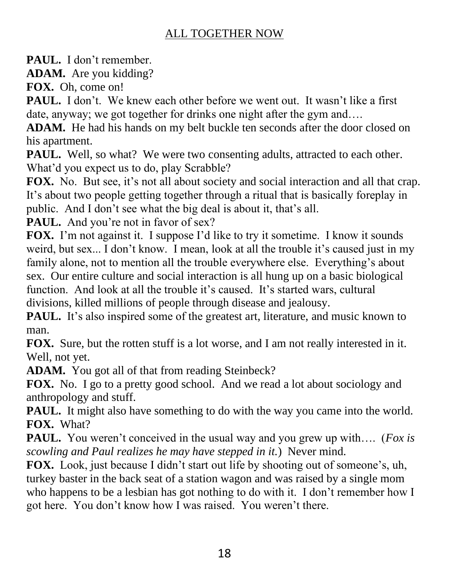**PAUL.** I don't remember.

**ADAM.** Are you kidding?

**FOX.** Oh, come on!

**PAUL.** I don't. We knew each other before we went out. It wasn't like a first date, anyway; we got together for drinks one night after the gym and….

**ADAM.** He had his hands on my belt buckle ten seconds after the door closed on his apartment.

PAUL. Well, so what? We were two consenting adults, attracted to each other. What'd you expect us to do, play Scrabble?

**FOX.** No. But see, it's not all about society and social interaction and all that crap. It's about two people getting together through a ritual that is basically foreplay in public. And I don't see what the big deal is about it, that's all.

PAUL. And you're not in favor of sex?

**FOX.** I'm not against it. I suppose I'd like to try it sometime. I know it sounds weird, but sex... I don't know. I mean, look at all the trouble it's caused just in my family alone, not to mention all the trouble everywhere else. Everything's about sex. Our entire culture and social interaction is all hung up on a basic biological function. And look at all the trouble it's caused. It's started wars, cultural divisions, killed millions of people through disease and jealousy.

**PAUL.** It's also inspired some of the greatest art, literature, and music known to man.

**FOX.** Sure, but the rotten stuff is a lot worse, and I am not really interested in it. Well, not yet.

**ADAM.** You got all of that from reading Steinbeck?

**FOX.** No. I go to a pretty good school. And we read a lot about sociology and anthropology and stuff.

**PAUL.** It might also have something to do with the way you came into the world. **FOX.** What?

**PAUL.** You weren't conceived in the usual way and you grew up with…. (*Fox is scowling and Paul realizes he may have stepped in it.*) Never mind.

**FOX.** Look, just because I didn't start out life by shooting out of someone's, uh, turkey baster in the back seat of a station wagon and was raised by a single mom who happens to be a lesbian has got nothing to do with it. I don't remember how I got here. You don't know how I was raised. You weren't there.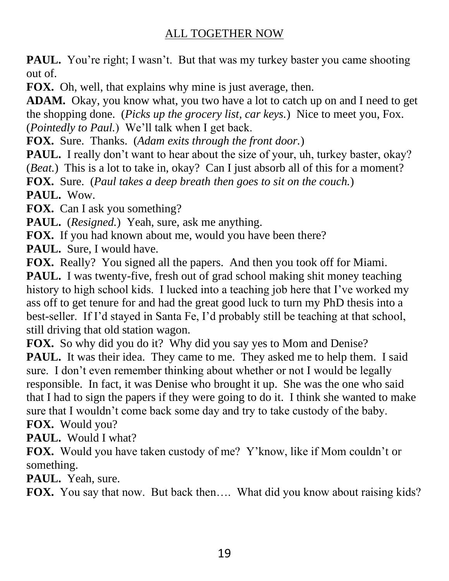**PAUL.** You're right; I wasn't. But that was my turkey baster you came shooting out of.

**FOX.** Oh, well, that explains why mine is just average, then.

**ADAM.** Okay, you know what, you two have a lot to catch up on and I need to get the shopping done. (*Picks up the grocery list, car keys.*) Nice to meet you, Fox. (*Pointedly to Paul.*) We'll talk when I get back.

**FOX.** Sure. Thanks. (*Adam exits through the front door.*)

**PAUL.** I really don't want to hear about the size of your, uh, turkey baster, okay? (*Beat.*) This is a lot to take in, okay? Can I just absorb all of this for a moment?

**FOX.** Sure. (*Paul takes a deep breath then goes to sit on the couch.*)

**PAUL.** Wow.

**FOX.** Can I ask you something?

**PAUL.** (*Resigned.*) Yeah, sure, ask me anything.

**FOX.** If you had known about me, would you have been there?

**PAUL.** Sure, I would have.

**FOX.** Really? You signed all the papers. And then you took off for Miami.

**PAUL.** I was twenty-five, fresh out of grad school making shit money teaching history to high school kids. I lucked into a teaching job here that I've worked my ass off to get tenure for and had the great good luck to turn my PhD thesis into a best-seller. If I'd stayed in Santa Fe, I'd probably still be teaching at that school, still driving that old station wagon.

**FOX.** So why did you do it? Why did you say yes to Mom and Denise?

**PAUL.** It was their idea. They came to me. They asked me to help them. I said sure. I don't even remember thinking about whether or not I would be legally responsible. In fact, it was Denise who brought it up. She was the one who said that I had to sign the papers if they were going to do it. I think she wanted to make sure that I wouldn't come back some day and try to take custody of the baby.

**FOX.** Would you?

**PAUL.** Would I what?

**FOX.** Would you have taken custody of me? Y'know, like if Mom couldn't or something.

**PAUL.** Yeah, sure.

**FOX.** You say that now. But back then…. What did you know about raising kids?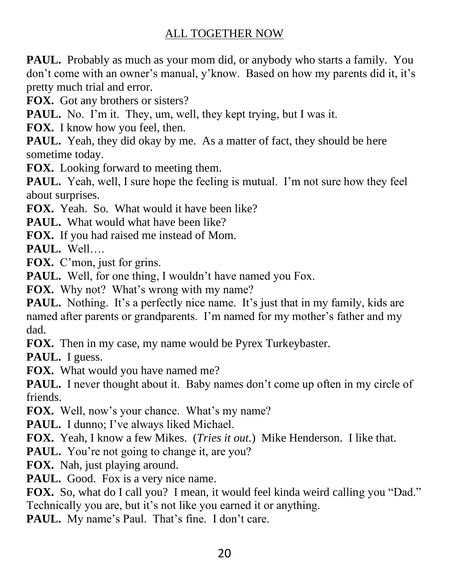PAUL. Probably as much as your mom did, or anybody who starts a family. You don't come with an owner's manual, y'know. Based on how my parents did it, it's pretty much trial and error.

**FOX.** Got any brothers or sisters?

**PAUL.** No. I'm it. They, um, well, they kept trying, but I was it.

**FOX.** I know how you feel, then.

**PAUL.** Yeah, they did okay by me. As a matter of fact, they should be here sometime today.

**FOX.** Looking forward to meeting them.

**PAUL.** Yeah, well, I sure hope the feeling is mutual. I'm not sure how they feel about surprises.

FOX. Yeah. So. What would it have been like?

**PAUL.** What would what have been like?

**FOX.** If you had raised me instead of Mom.

**PAUL.** Well….

**FOX.** C'mon, just for grins.

**PAUL.** Well, for one thing, I wouldn't have named you Fox.

**FOX.** Why not? What's wrong with my name?

**PAUL.** Nothing. It's a perfectly nice name. It's just that in my family, kids are named after parents or grandparents. I'm named for my mother's father and my dad.

**FOX.** Then in my case, my name would be Pyrex Turkeybaster.

PAUL. I guess.

**FOX.** What would you have named me?

PAUL. I never thought about it. Baby names don't come up often in my circle of friends.

**FOX.** Well, now's your chance. What's my name?

PAUL. I dunno; I've always liked Michael.

**FOX.** Yeah, I know a few Mikes. (*Tries it out.*) Mike Henderson. I like that.

**PAUL.** You're not going to change it, are you?

**FOX.** Nah, just playing around.

PAUL. Good. Fox is a very nice name.

**FOX.** So, what do I call you? I mean, it would feel kinda weird calling you "Dad." Technically you are, but it's not like you earned it or anything.

PAUL. My name's Paul. That's fine. I don't care.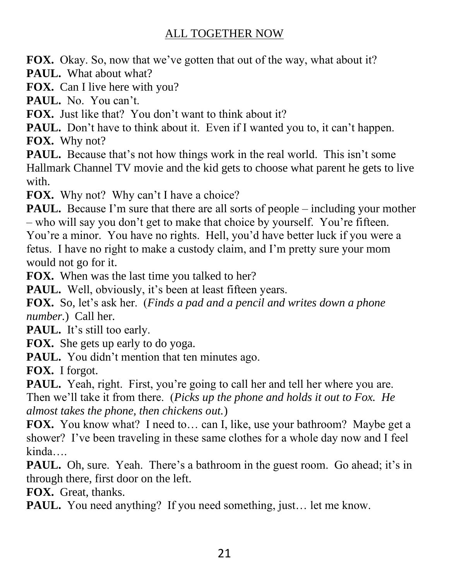**FOX.** Okay. So, now that we've gotten that out of the way, what about it?

**PAUL.** What about what?

**FOX.** Can I live here with you?

PAUL. No. You can't.

**FOX.** Just like that? You don't want to think about it?

**PAUL.** Don't have to think about it. Even if I wanted you to, it can't happen. **FOX.** Why not?

**PAUL.** Because that's not how things work in the real world. This isn't some Hallmark Channel TV movie and the kid gets to choose what parent he gets to live with.

FOX. Why not? Why can't I have a choice?

**PAUL.** Because I'm sure that there are all sorts of people – including your mother – who will say you don't get to make that choice by yourself. You're fifteen.

You're a minor. You have no rights. Hell, you'd have better luck if you were a fetus. I have no right to make a custody claim, and I'm pretty sure your mom would not go for it.

**FOX.** When was the last time you talked to her?

PAUL. Well, obviously, it's been at least fifteen years.

**FOX.** So, let's ask her. (*Finds a pad and a pencil and writes down a phone number.*) Call her.

**PAUL.** It's still too early.

**FOX.** She gets up early to do yoga.

**PAUL.** You didn't mention that ten minutes ago.

**FOX.** I forgot.

PAUL. Yeah, right. First, you're going to call her and tell her where you are. Then we'll take it from there. (*Picks up the phone and holds it out to Fox. He almost takes the phone, then chickens out.*)

**FOX.** You know what? I need to... can I, like, use your bathroom? Maybe get a shower? I've been traveling in these same clothes for a whole day now and I feel kinda….

**PAUL.** Oh, sure. Yeah. There's a bathroom in the guest room. Go ahead; it's in through there, first door on the left.

**FOX.** Great, thanks.

**PAUL.** You need anything? If you need something, just... let me know.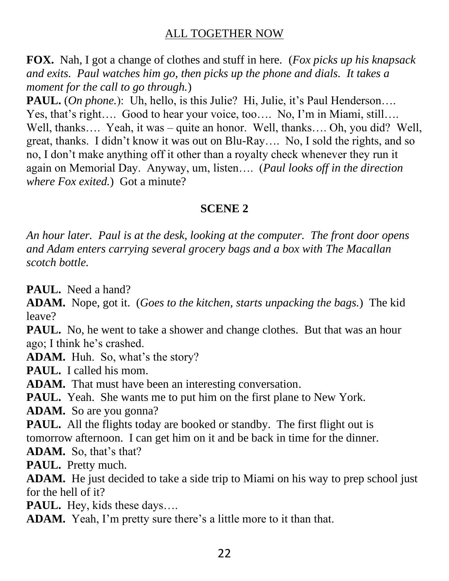**FOX.** Nah, I got a change of clothes and stuff in here. (*Fox picks up his knapsack and exits. Paul watches him go, then picks up the phone and dials. It takes a moment for the call to go through.*)

**PAUL.** (*On phone.*): Uh, hello, is this Julie? Hi, Julie, it's Paul Henderson.... Yes, that's right…. Good to hear your voice, too…. No, I'm in Miami, still…. Well, thanks.... Yeah, it was – quite an honor. Well, thanks.... Oh, you did? Well, great, thanks. I didn't know it was out on Blu-Ray…. No, I sold the rights, and so no, I don't make anything off it other than a royalty check whenever they run it again on Memorial Day. Anyway, um, listen…. (*Paul looks off in the direction where Fox exited.*) Got a minute?

### **SCENE 2**

*An hour later. Paul is at the desk, looking at the computer. The front door opens and Adam enters carrying several grocery bags and a box with The Macallan scotch bottle.*

**PAUL.** Need a hand?

**ADAM.** Nope, got it. (*Goes to the kitchen, starts unpacking the bags.*) The kid leave?

**PAUL.** No, he went to take a shower and change clothes. But that was an hour ago; I think he's crashed.

**ADAM.** Huh. So, what's the story?

**PAUL.** I called his mom.

**ADAM.** That must have been an interesting conversation.

**PAUL.** Yeah. She wants me to put him on the first plane to New York.

**ADAM.** So are you gonna?

**PAUL.** All the flights today are booked or standby. The first flight out is tomorrow afternoon. I can get him on it and be back in time for the dinner.

**ADAM.** So, that's that?

**PAUL.** Pretty much.

**ADAM.** He just decided to take a side trip to Miami on his way to prep school just for the hell of it?

**PAUL.** Hey, kids these days….

**ADAM.** Yeah, I'm pretty sure there's a little more to it than that.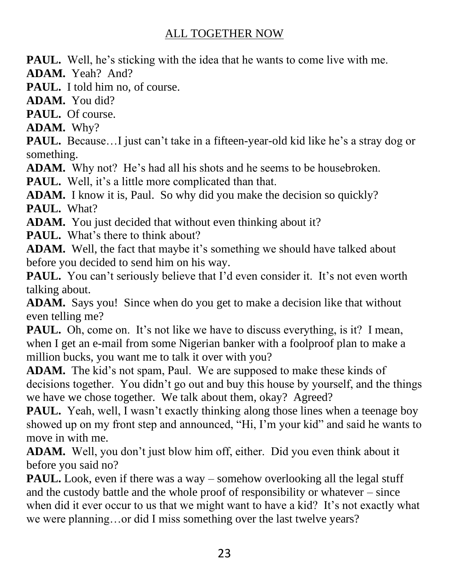**PAUL.** Well, he's sticking with the idea that he wants to come live with me.

**ADAM.** Yeah? And?

**PAUL.** I told him no, of course.

**ADAM.** You did?

**PAUL.** Of course.

**ADAM.** Why?

**PAUL.** Because...I just can't take in a fifteen-year-old kid like he's a stray dog or something.

**ADAM.** Why not? He's had all his shots and he seems to be housebroken.

**PAUL.** Well, it's a little more complicated than that.

**ADAM.** I know it is, Paul. So why did you make the decision so quickly? **PAUL.** What?

**ADAM.** You just decided that without even thinking about it?

**PAUL.** What's there to think about?

**ADAM.** Well, the fact that maybe it's something we should have talked about before you decided to send him on his way.

**PAUL.** You can't seriously believe that I'd even consider it. It's not even worth talking about.

**ADAM.** Says you! Since when do you get to make a decision like that without even telling me?

**PAUL.** Oh, come on. It's not like we have to discuss everything, is it? I mean, when I get an e-mail from some Nigerian banker with a foolproof plan to make a million bucks, you want me to talk it over with you?

**ADAM.** The kid's not spam, Paul. We are supposed to make these kinds of decisions together. You didn't go out and buy this house by yourself, and the things we have we chose together. We talk about them, okay? Agreed?

**PAUL.** Yeah, well, I wasn't exactly thinking along those lines when a teenage boy showed up on my front step and announced, "Hi, I'm your kid" and said he wants to move in with me.

**ADAM.** Well, you don't just blow him off, either. Did you even think about it before you said no?

**PAUL.** Look, even if there was a way – somehow overlooking all the legal stuff and the custody battle and the whole proof of responsibility or whatever – since when did it ever occur to us that we might want to have a kid? It's not exactly what we were planning…or did I miss something over the last twelve years?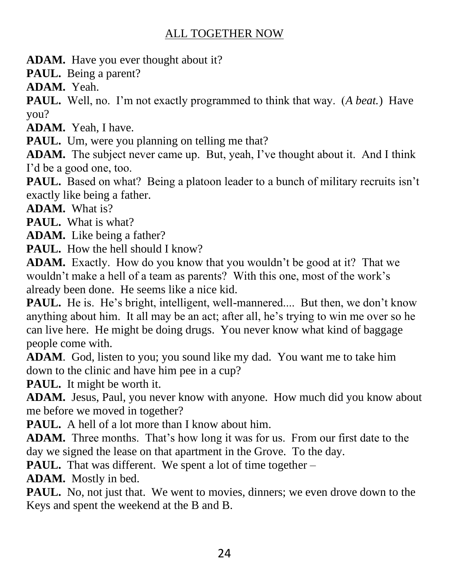**ADAM.** Have you ever thought about it?

**PAUL.** Being a parent?

**ADAM.** Yeah.

**PAUL.** Well, no. I'm not exactly programmed to think that way. (*A beat.*) Have you?

**ADAM.** Yeah, I have.

**PAUL.** Um, were you planning on telling me that?

**ADAM.** The subject never came up. But, yeah, I've thought about it. And I think I'd be a good one, too.

**PAUL.** Based on what? Being a platoon leader to a bunch of military recruits isn't exactly like being a father.

**ADAM.** What is?

**PAUL.** What is what?

**ADAM.** Like being a father?

**PAUL.** How the hell should I know?

**ADAM.** Exactly. How do you know that you wouldn't be good at it? That we wouldn't make a hell of a team as parents? With this one, most of the work's already been done. He seems like a nice kid.

**PAUL.** He is. He's bright, intelligent, well-mannered.... But then, we don't know anything about him. It all may be an act; after all, he's trying to win me over so he can live here. He might be doing drugs. You never know what kind of baggage people come with.

**ADAM**. God, listen to you; you sound like my dad. You want me to take him down to the clinic and have him pee in a cup?

**PAUL.** It might be worth it.

**ADAM.** Jesus, Paul, you never know with anyone. How much did you know about me before we moved in together?

**PAUL.** A hell of a lot more than I know about him.

**ADAM.** Three months. That's how long it was for us. From our first date to the day we signed the lease on that apartment in the Grove. To the day.

**PAUL.** That was different. We spent a lot of time together –

**ADAM.** Mostly in bed.

**PAUL.** No, not just that. We went to movies, dinners; we even drove down to the Keys and spent the weekend at the B and B.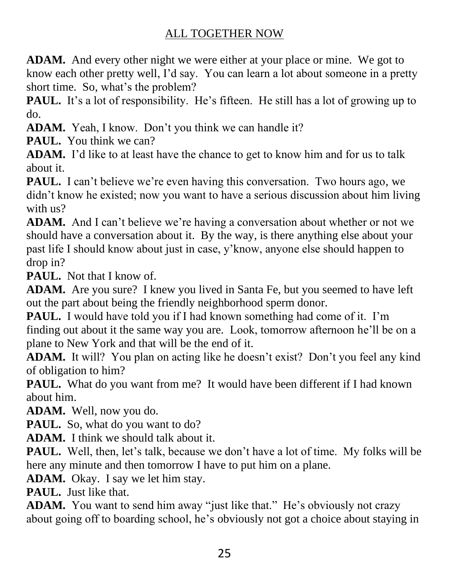**ADAM.** And every other night we were either at your place or mine. We got to know each other pretty well, I'd say. You can learn a lot about someone in a pretty short time. So, what's the problem?

**PAUL.** It's a lot of responsibility. He's fifteen. He still has a lot of growing up to do.

**ADAM.** Yeah, I know. Don't you think we can handle it?

**PAUL.** You think we can?

**ADAM.** I'd like to at least have the chance to get to know him and for us to talk about it.

**PAUL.** I can't believe we're even having this conversation. Two hours ago, we didn't know he existed; now you want to have a serious discussion about him living with us?

**ADAM.** And I can't believe we're having a conversation about whether or not we should have a conversation about it. By the way, is there anything else about your past life I should know about just in case, y'know, anyone else should happen to drop in?

**PAUL.** Not that I know of.

**ADAM.** Are you sure? I knew you lived in Santa Fe, but you seemed to have left out the part about being the friendly neighborhood sperm donor.

**PAUL.** I would have told you if I had known something had come of it. I'm finding out about it the same way you are. Look, tomorrow afternoon he'll be on a plane to New York and that will be the end of it.

**ADAM.** It will? You plan on acting like he doesn't exist? Don't you feel any kind of obligation to him?

**PAUL.** What do you want from me? It would have been different if I had known about him.

**ADAM.** Well, now you do.

**PAUL.** So, what do you want to do?

**ADAM.** I think we should talk about it.

**PAUL.** Well, then, let's talk, because we don't have a lot of time. My folks will be here any minute and then tomorrow I have to put him on a plane.

**ADAM.** Okay. I say we let him stay.

**PAUL.** Just like that.

**ADAM.** You want to send him away "just like that." He's obviously not crazy about going off to boarding school, he's obviously not got a choice about staying in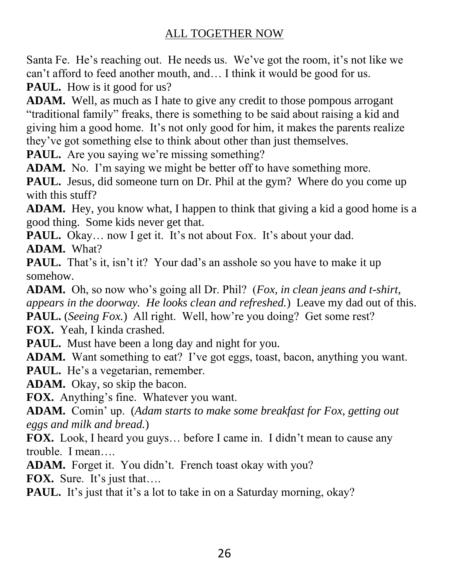Santa Fe. He's reaching out. He needs us. We've got the room, it's not like we can't afford to feed another mouth, and… I think it would be good for us.

PAUL. How is it good for us?

**ADAM.** Well, as much as I hate to give any credit to those pompous arrogant "traditional family" freaks, there is something to be said about raising a kid and giving him a good home. It's not only good for him, it makes the parents realize they've got something else to think about other than just themselves.

**PAUL.** Are you saying we're missing something?

ADAM. No. I'm saying we might be better off to have something more.

**PAUL.** Jesus, did someone turn on Dr. Phil at the gym? Where do you come up with this stuff?

**ADAM.** Hey, you know what, I happen to think that giving a kid a good home is a good thing. Some kids never get that.

**PAUL.** Okay... now I get it. It's not about Fox. It's about your dad. **ADAM.** What?

PAUL. That's it, isn't it? Your dad's an asshole so you have to make it up somehow.

**ADAM.** Oh, so now who's going all Dr. Phil? (*Fox, in clean jeans and t-shirt, appears in the doorway. He looks clean and refreshed.*) Leave my dad out of this. **PAUL.** (*Seeing Fox.*) All right. Well, how're you doing? Get some rest?

**FOX.** Yeah, I kinda crashed.

**PAUL.** Must have been a long day and night for you.

**ADAM.** Want something to eat? I've got eggs, toast, bacon, anything you want. PAUL. He's a vegetarian, remember.

**ADAM.** Okay, so skip the bacon.

**FOX.** Anything's fine. Whatever you want.

**ADAM.** Comin' up. (*Adam starts to make some breakfast for Fox, getting out eggs and milk and bread.*)

**FOX.** Look, I heard you guys… before I came in. I didn't mean to cause any trouble. I mean….

ADAM. Forget it. You didn't. French toast okay with you?

**FOX.** Sure. It's just that….

**PAUL.** It's just that it's a lot to take in on a Saturday morning, okay?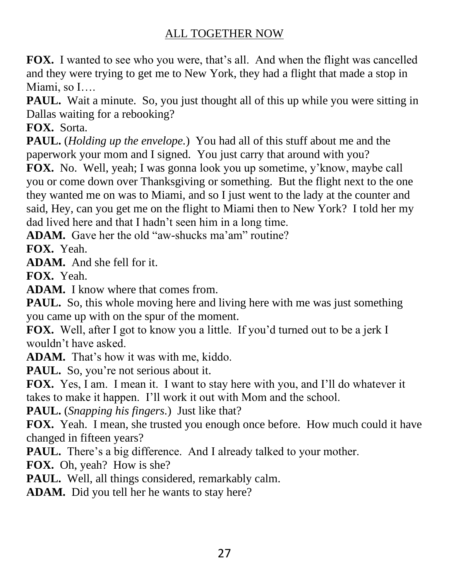**FOX.** I wanted to see who you were, that's all. And when the flight was cancelled and they were trying to get me to New York, they had a flight that made a stop in Miami, so I….

**PAUL.** Wait a minute. So, you just thought all of this up while you were sitting in Dallas waiting for a rebooking?

**FOX.** Sorta.

**PAUL.** (*Holding up the envelope.*) You had all of this stuff about me and the paperwork your mom and I signed. You just carry that around with you?

**FOX.** No. Well, yeah; I was gonna look you up sometime, y'know, maybe call you or come down over Thanksgiving or something. But the flight next to the one they wanted me on was to Miami, and so I just went to the lady at the counter and said, Hey, can you get me on the flight to Miami then to New York? I told her my dad lived here and that I hadn't seen him in a long time.

**ADAM.** Gave her the old "aw-shucks ma'am" routine?

**FOX.** Yeah.

**ADAM.** And she fell for it.

**FOX.** Yeah.

**ADAM.** I know where that comes from.

**PAUL.** So, this whole moving here and living here with me was just something you came up with on the spur of the moment.

**FOX.** Well, after I got to know you a little. If you'd turned out to be a jerk I wouldn't have asked.

**ADAM.** That's how it was with me, kiddo.

PAUL. So, you're not serious about it.

**FOX.** Yes, I am. I mean it. I want to stay here with you, and I'll do whatever it takes to make it happen. I'll work it out with Mom and the school.

**PAUL.** (*Snapping his fingers.*) Just like that?

**FOX.** Yeah. I mean, she trusted you enough once before. How much could it have changed in fifteen years?

**PAUL.** There's a big difference. And I already talked to your mother.

**FOX.** Oh, yeah? How is she?

PAUL. Well, all things considered, remarkably calm.

**ADAM.** Did you tell her he wants to stay here?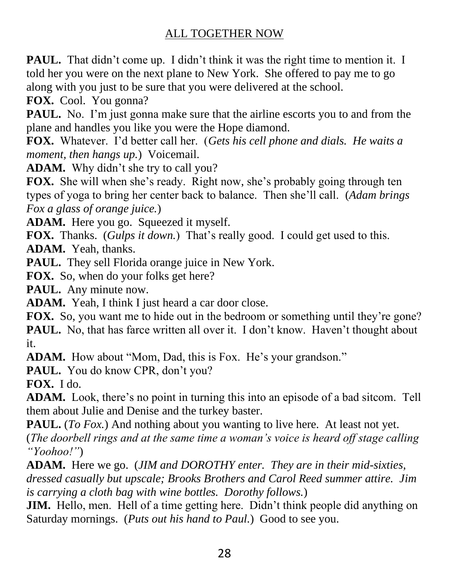PAUL. That didn't come up. I didn't think it was the right time to mention it. I told her you were on the next plane to New York. She offered to pay me to go along with you just to be sure that you were delivered at the school.

**FOX.** Cool. You gonna?

**PAUL.** No. I'm just gonna make sure that the airline escorts you to and from the plane and handles you like you were the Hope diamond.

**FOX.** Whatever. I'd better call her. (*Gets his cell phone and dials. He waits a moment, then hangs up.*) Voicemail.

**ADAM.** Why didn't she try to call you?

**FOX.** She will when she's ready. Right now, she's probably going through ten types of yoga to bring her center back to balance. Then she'll call. (*Adam brings Fox a glass of orange juice.*)

**ADAM.** Here you go. Squeezed it myself.

**FOX.** Thanks. (*Gulps it down.*) That's really good. I could get used to this.

**ADAM.** Yeah, thanks.

**PAUL.** They sell Florida orange juice in New York.

**FOX.** So, when do your folks get here?

**PAUL.** Any minute now.

**ADAM.** Yeah, I think I just heard a car door close.

**FOX.** So, you want me to hide out in the bedroom or something until they're gone? **PAUL.** No, that has farce written all over it. I don't know. Haven't thought about it.

**ADAM.** How about "Mom, Dad, this is Fox. He's your grandson."

PAUL. You do know CPR, don't you?

**FOX.** I do.

**ADAM.** Look, there's no point in turning this into an episode of a bad sitcom. Tell them about Julie and Denise and the turkey baster.

**PAUL.** (*To Fox.*) And nothing about you wanting to live here. At least not yet. (*The doorbell rings and at the same time a woman's voice is heard off stage calling "Yoohoo!"*)

**ADAM.** Here we go. (*JIM and DOROTHY enter. They are in their mid-sixties, dressed casually but upscale; Brooks Brothers and Carol Reed summer attire. Jim is carrying a cloth bag with wine bottles. Dorothy follows.*)

**JIM.** Hello, men. Hell of a time getting here. Didn't think people did anything on Saturday mornings. (*Puts out his hand to Paul.*) Good to see you.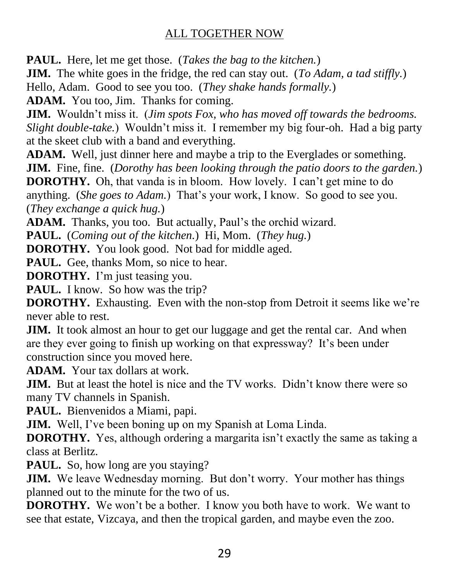**PAUL.** Here, let me get those. (*Takes the bag to the kitchen.*)

**JIM.** The white goes in the fridge, the red can stay out. (*To Adam, a tad stiffly.*)

Hello, Adam. Good to see you too. (*They shake hands formally.*)

**ADAM.** You too, Jim. Thanks for coming.

**JIM.** Wouldn't miss it. (*Jim spots Fox, who has moved off towards the bedrooms. Slight double-take.*) Wouldn't miss it. I remember my big four-oh. Had a big party at the skeet club with a band and everything.

**ADAM.** Well, just dinner here and maybe a trip to the Everglades or something. **JIM.** Fine, fine. (*Dorothy has been looking through the patio doors to the garden.*) **DOROTHY.** Oh, that vanda is in bloom. How lovely. I can't get mine to do anything. (*She goes to Adam.*) That's your work, I know. So good to see you. (*They exchange a quick hug.*)

**ADAM.** Thanks, you too. But actually, Paul's the orchid wizard.

**PAUL.** (*Coming out of the kitchen.*) Hi, Mom. (*They hug.*)

**DOROTHY.** You look good. Not bad for middle aged.

**PAUL.** Gee, thanks Mom, so nice to hear.

**DOROTHY.** I'm just teasing you.

PAUL. I know. So how was the trip?

**DOROTHY.** Exhausting. Even with the non-stop from Detroit it seems like we're never able to rest.

**JIM.** It took almost an hour to get our luggage and get the rental car. And when are they ever going to finish up working on that expressway? It's been under construction since you moved here.

**ADAM.** Your tax dollars at work.

**JIM.** But at least the hotel is nice and the TV works. Didn't know there were so many TV channels in Spanish.

**PAUL.** Bienvenidos a Miami, papi.

**JIM.** Well, I've been boning up on my Spanish at Loma Linda.

**DOROTHY.** Yes, although ordering a margarita isn't exactly the same as taking a class at Berlitz.

PAUL. So, how long are you staying?

**JIM.** We leave Wednesday morning. But don't worry. Your mother has things planned out to the minute for the two of us.

**DOROTHY.** We won't be a bother. I know you both have to work. We want to see that estate, Vizcaya, and then the tropical garden, and maybe even the zoo.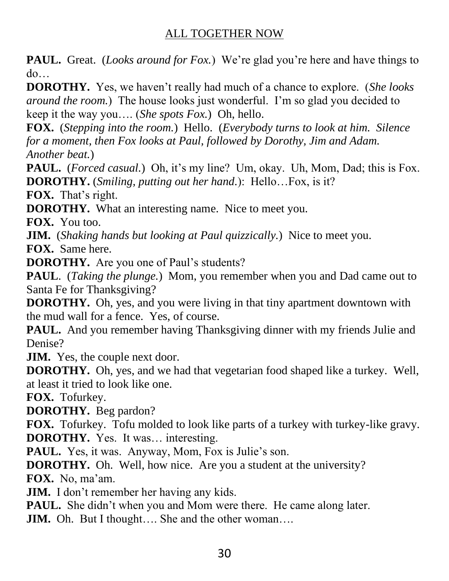**PAUL.** Great. (*Looks around for Fox.*) We're glad you're here and have things to do…

**DOROTHY.** Yes, we haven't really had much of a chance to explore. (*She looks around the room.*) The house looks just wonderful. I'm so glad you decided to keep it the way you…. (*She spots Fox.*) Oh, hello.

**FOX.** (*Stepping into the room.*) Hello. (*Everybody turns to look at him. Silence for a moment, then Fox looks at Paul, followed by Dorothy, Jim and Adam. Another beat.*)

**PAUL.** (*Forced casual.*) Oh, it's my line? Um, okay. Uh, Mom, Dad; this is Fox. **DOROTHY.** (*Smiling, putting out her hand.*): Hello…Fox, is it?

**FOX.** That's right.

**DOROTHY.** What an interesting name. Nice to meet you.

**FOX.** You too.

**JIM.** (*Shaking hands but looking at Paul quizzically.*) Nice to meet you.

**FOX.** Same here.

**DOROTHY.** Are you one of Paul's students?

**PAUL**. (*Taking the plunge.*) Mom, you remember when you and Dad came out to Santa Fe for Thanksgiving?

**DOROTHY.** Oh, yes, and you were living in that tiny apartment downtown with the mud wall for a fence. Yes, of course.

**PAUL.** And you remember having Thanksgiving dinner with my friends Julie and Denise?

**JIM.** Yes, the couple next door.

**DOROTHY.** Oh, yes, and we had that vegetarian food shaped like a turkey. Well, at least it tried to look like one.

**FOX.** Tofurkey.

**DOROTHY.** Beg pardon?

**FOX.** Tofurkey. Tofu molded to look like parts of a turkey with turkey-like gravy. **DOROTHY.** Yes. It was… interesting.

**PAUL.** Yes, it was. Anyway, Mom, Fox is Julie's son.

**DOROTHY.** Oh. Well, how nice. Are you a student at the university? **FOX.** No, ma'am.

**JIM.** I don't remember her having any kids.

**PAUL.** She didn't when you and Mom were there. He came along later.

**JIM.** Oh. But I thought.... She and the other woman....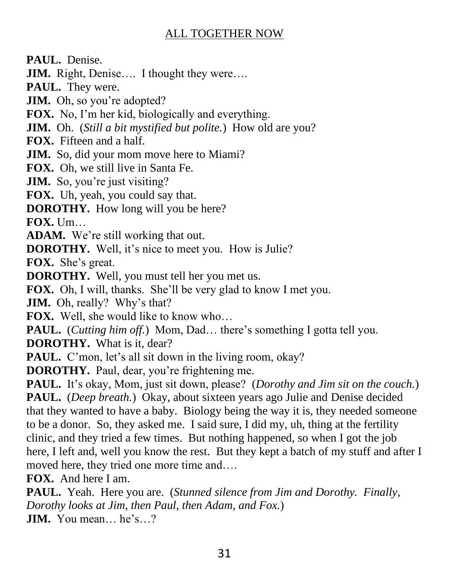**PAUL.** Denise.

**JIM.** Right, Denise…. I thought they were….

**PAUL.** They were.

**JIM.** Oh, so you're adopted?

**FOX.** No, I'm her kid, biologically and everything.

**JIM.** Oh. (*Still a bit mystified but polite.*) How old are you?

**FOX.** Fifteen and a half.

**JIM.** So, did your mom move here to Miami?

**FOX.** Oh, we still live in Santa Fe.

**JIM.** So, you're just visiting?

**FOX.** Uh, yeah, you could say that.

**DOROTHY.** How long will you be here?

**FOX.** Um…

**ADAM.** We're still working that out.

**DOROTHY.** Well, it's nice to meet you. How is Julie?

**FOX.** She's great.

**DOROTHY.** Well, you must tell her you met us.

**FOX.** Oh, I will, thanks. She'll be very glad to know I met you.

**JIM.** Oh, really? Why's that?

**FOX.** Well, she would like to know who…

**PAUL.** (*Cutting him off.*) Mom, Dad… there's something I gotta tell you.

**DOROTHY.** What is it, dear?

**PAUL.** C'mon, let's all sit down in the living room, okay?

**DOROTHY.** Paul, dear, you're frightening me.

**PAUL.** It's okay, Mom, just sit down, please? (*Dorothy and Jim sit on the couch.*) **PAUL.** (*Deep breath.*) Okay, about sixteen years ago Julie and Denise decided that they wanted to have a baby. Biology being the way it is, they needed someone to be a donor. So, they asked me. I said sure, I did my, uh, thing at the fertility clinic, and they tried a few times. But nothing happened, so when I got the job here, I left and, well you know the rest. But they kept a batch of my stuff and after I moved here, they tried one more time and….

**FOX.** And here I am.

**PAUL.** Yeah. Here you are. (*Stunned silence from Jim and Dorothy. Finally, Dorothy looks at Jim, then Paul, then Adam, and Fox.*) **JIM.** You mean… he's…?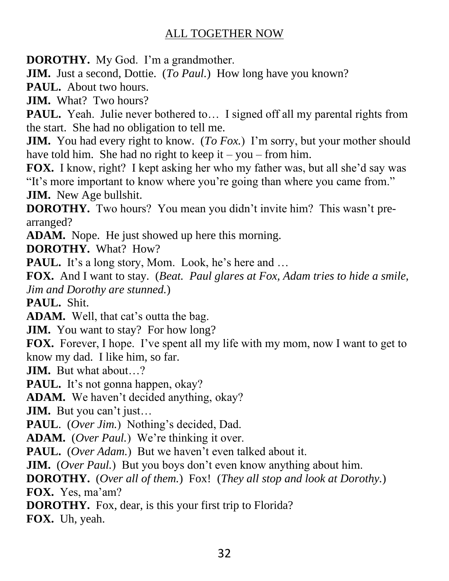**DOROTHY.** My God. I'm a grandmother.

**JIM.** Just a second, Dottie. (*To Paul.*) How long have you known?

**PAUL.** About two hours.

**JIM.** What? Two hours?

**PAUL.** Yeah. Julie never bothered to... I signed off all my parental rights from the start. She had no obligation to tell me.

**JIM.** You had every right to know. (*To Fox.*) I'm sorry, but your mother should have told him. She had no right to keep it – you – from him.

**FOX.** I know, right? I kept asking her who my father was, but all she'd say was "It's more important to know where you're going than where you came from." **JIM.** New Age bullshit.

**DOROTHY.** Two hours? You mean you didn't invite him? This wasn't prearranged?

**ADAM.** Nope. He just showed up here this morning.

**DOROTHY.** What? How?

PAUL. It's a long story, Mom. Look, he's here and ...

**FOX.** And I want to stay. (*Beat. Paul glares at Fox, Adam tries to hide a smile, Jim and Dorothy are stunned.*)

**PAUL.** Shit.

**ADAM.** Well, that cat's outta the bag.

**JIM.** You want to stay? For how long?

**FOX.** Forever, I hope. I've spent all my life with my mom, now I want to get to know my dad. I like him, so far.

**JIM.** But what about…?

PAUL. It's not gonna happen, okay?

**ADAM.** We haven't decided anything, okay?

**JIM.** But you can't just...

**PAUL**. (*Over Jim.*) Nothing's decided, Dad.

**ADAM.** (*Over Paul.*) We're thinking it over.

**PAUL.** (*Over Adam.*) But we haven't even talked about it.

**JIM.** (*Over Paul.*) But you boys don't even know anything about him.

**DOROTHY.** (*Over all of them.*) Fox! (*They all stop and look at Dorothy.*) **FOX.** Yes, ma'am?

**DOROTHY.** Fox, dear, is this your first trip to Florida?

**FOX.** Uh, yeah.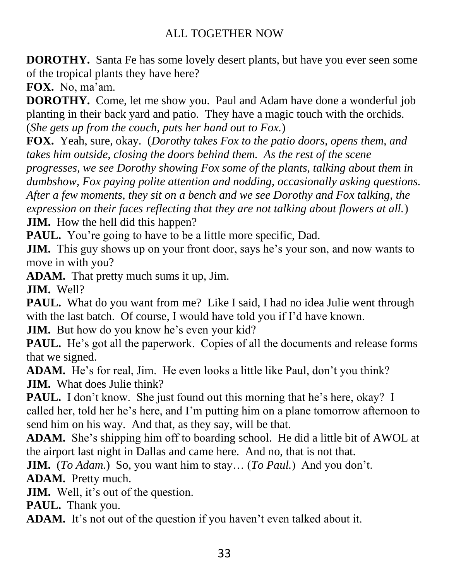**DOROTHY.** Santa Fe has some lovely desert plants, but have you ever seen some of the tropical plants they have here?

**FOX.** No, ma'am.

**DOROTHY.** Come, let me show you. Paul and Adam have done a wonderful job planting in their back yard and patio. They have a magic touch with the orchids. (*She gets up from the couch, puts her hand out to Fox.*)

**FOX.** Yeah, sure, okay. (*Dorothy takes Fox to the patio doors, opens them, and takes him outside, closing the doors behind them. As the rest of the scene* 

*progresses, we see Dorothy showing Fox some of the plants, talking about them in dumbshow, Fox paying polite attention and nodding, occasionally asking questions. After a few moments, they sit on a bench and we see Dorothy and Fox talking, the expression on their faces reflecting that they are not talking about flowers at all.*) **JIM.** How the hell did this happen?

**PAUL.** You're going to have to be a little more specific, Dad.

**JIM.** This guy shows up on your front door, says he's your son, and now wants to move in with you?

**ADAM.** That pretty much sums it up, Jim.

**JIM.** Well?

**PAUL.** What do you want from me? Like I said, I had no idea Julie went through with the last batch. Of course, I would have told you if I'd have known.

**JIM.** But how do you know he's even your kid?

**PAUL.** He's got all the paperwork. Copies of all the documents and release forms that we signed.

**ADAM.** He's for real, Jim. He even looks a little like Paul, don't you think? **JIM.** What does Julie think?

PAUL. I don't know. She just found out this morning that he's here, okay? I called her, told her he's here, and I'm putting him on a plane tomorrow afternoon to send him on his way. And that, as they say, will be that.

**ADAM.** She's shipping him off to boarding school. He did a little bit of AWOL at the airport last night in Dallas and came here. And no, that is not that.

**JIM.** (*To Adam.*) So, you want him to stay… (*To Paul.*) And you don't.

**ADAM.** Pretty much.

**JIM.** Well, it's out of the question.

**PAUL.** Thank you.

**ADAM.** It's not out of the question if you haven't even talked about it.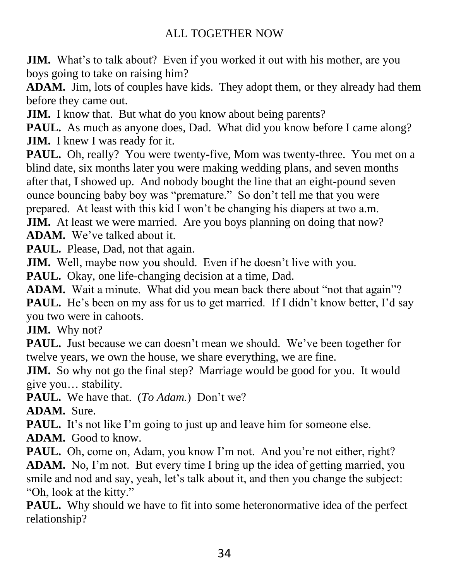**JIM.** What's to talk about? Even if you worked it out with his mother, are you boys going to take on raising him?

**ADAM.** Jim, lots of couples have kids. They adopt them, or they already had them before they came out.

**JIM.** I know that. But what do you know about being parents?

**PAUL.** As much as anyone does, Dad. What did you know before I came along? **JIM.** I knew I was ready for it.

**PAUL.** Oh, really? You were twenty-five, Mom was twenty-three. You met on a blind date, six months later you were making wedding plans, and seven months after that, I showed up. And nobody bought the line that an eight-pound seven ounce bouncing baby boy was "premature." So don't tell me that you were prepared. At least with this kid I won't be changing his diapers at two a.m.

**JIM.** At least we were married. Are you boys planning on doing that now?

**ADAM.** We've talked about it.

PAUL. Please, Dad, not that again.

**JIM.** Well, maybe now you should. Even if he doesn't live with you.

**PAUL.** Okay, one life-changing decision at a time, Dad.

**ADAM.** Wait a minute. What did you mean back there about "not that again"? **PAUL.** He's been on my ass for us to get married. If I didn't know better, I'd say you two were in cahoots.

**JIM.** Why not?

PAUL. Just because we can doesn't mean we should. We've been together for twelve years, we own the house, we share everything, we are fine.

**JIM.** So why not go the final step? Marriage would be good for you. It would give you… stability.

**PAUL.** We have that. (*To Adam.*) Don't we?

**ADAM.** Sure.

**PAUL.** It's not like I'm going to just up and leave him for someone else.

**ADAM.** Good to know.

PAUL. Oh, come on, Adam, you know I'm not. And you're not either, right? **ADAM.** No, I'm not. But every time I bring up the idea of getting married, you smile and nod and say, yeah, let's talk about it, and then you change the subject: "Oh, look at the kitty."

**PAUL.** Why should we have to fit into some heteronormative idea of the perfect relationship?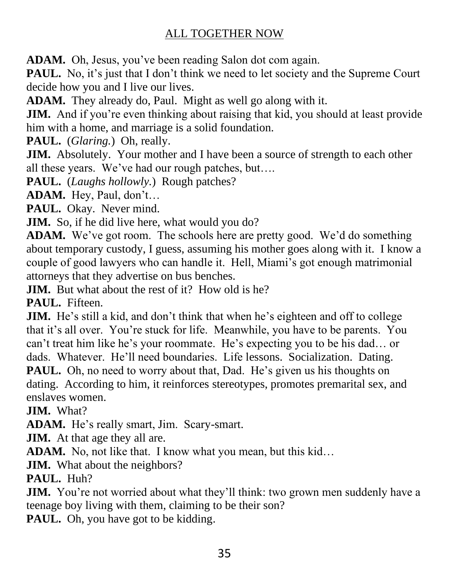**ADAM.** Oh, Jesus, you've been reading Salon dot com again.

**PAUL.** No, it's just that I don't think we need to let society and the Supreme Court decide how you and I live our lives.

**ADAM.** They already do, Paul. Might as well go along with it.

**JIM.** And if you're even thinking about raising that kid, you should at least provide him with a home, and marriage is a solid foundation.

**PAUL.** (*Glaring.*) Oh, really.

**JIM.** Absolutely. Your mother and I have been a source of strength to each other all these years. We've had our rough patches, but….

**PAUL.** (*Laughs hollowly.*) Rough patches?

**ADAM.** Hey, Paul, don't…

**PAUL.** Okay. Never mind.

**JIM.** So, if he did live here, what would you do?

**ADAM.** We've got room. The schools here are pretty good. We'd do something about temporary custody, I guess, assuming his mother goes along with it. I know a couple of good lawyers who can handle it. Hell, Miami's got enough matrimonial attorneys that they advertise on bus benches.

**JIM.** But what about the rest of it? How old is he?

**PAUL.** Fifteen.

**JIM.** He's still a kid, and don't think that when he's eighteen and off to college that it's all over. You're stuck for life. Meanwhile, you have to be parents. You can't treat him like he's your roommate. He's expecting you to be his dad… or dads. Whatever. He'll need boundaries. Life lessons. Socialization. Dating. **PAUL.** Oh, no need to worry about that, Dad. He's given us his thoughts on dating. According to him, it reinforces stereotypes, promotes premarital sex, and enslaves women.

**JIM.** What?

**ADAM.** He's really smart, Jim. Scary-smart.

**JIM.** At that age they all are.

**ADAM.** No, not like that. I know what you mean, but this kid…

**JIM.** What about the neighbors?

**PAUL.** Huh?

**JIM.** You're not worried about what they'll think: two grown men suddenly have a teenage boy living with them, claiming to be their son?

PAUL. Oh, you have got to be kidding.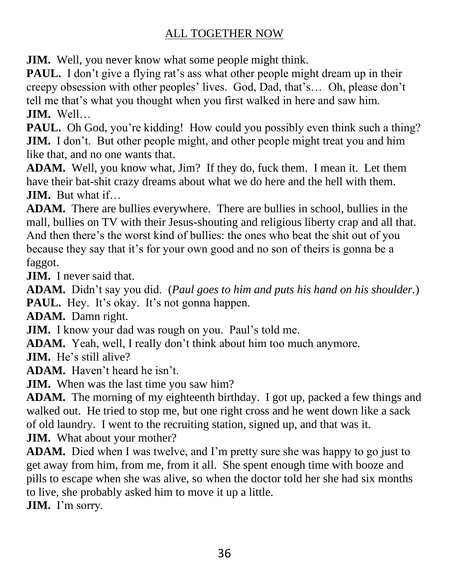**JIM.** Well, you never know what some people might think.

**PAUL.** I don't give a flying rat's ass what other people might dream up in their creepy obsession with other peoples' lives. God, Dad, that's… Oh, please don't tell me that's what you thought when you first walked in here and saw him. **JIM.** Well…

**PAUL.** Oh God, you're kidding! How could you possibly even think such a thing? **JIM.** I don't. But other people might, and other people might treat you and him like that, and no one wants that.

**ADAM.** Well, you know what, Jim? If they do, fuck them. I mean it. Let them have their bat-shit crazy dreams about what we do here and the hell with them. **JIM.** But what if…

**ADAM.** There are bullies everywhere. There are bullies in school, bullies in the mall, bullies on TV with their Jesus-shouting and religious liberty crap and all that. And then there's the worst kind of bullies: the ones who beat the shit out of you because they say that it's for your own good and no son of theirs is gonna be a faggot.

**JIM.** I never said that.

**ADAM.** Didn't say you did. (*Paul goes to him and puts his hand on his shoulder.*) **PAUL.** Hey. It's okay. It's not gonna happen.

**ADAM.** Damn right.

**JIM.** I know your dad was rough on you. Paul's told me.

**ADAM.** Yeah, well, I really don't think about him too much anymore.

**JIM.** He's still alive?

**ADAM.** Haven't heard he isn't.

**JIM.** When was the last time you saw him?

**ADAM.** The morning of my eighteenth birthday. I got up, packed a few things and walked out. He tried to stop me, but one right cross and he went down like a sack of old laundry. I went to the recruiting station, signed up, and that was it. **JIM.** What about your mother?

**ADAM.** Died when I was twelve, and I'm pretty sure she was happy to go just to get away from him, from me, from it all. She spent enough time with booze and pills to escape when she was alive, so when the doctor told her she had six months to live, she probably asked him to move it up a little.

**JIM.** I'm sorry.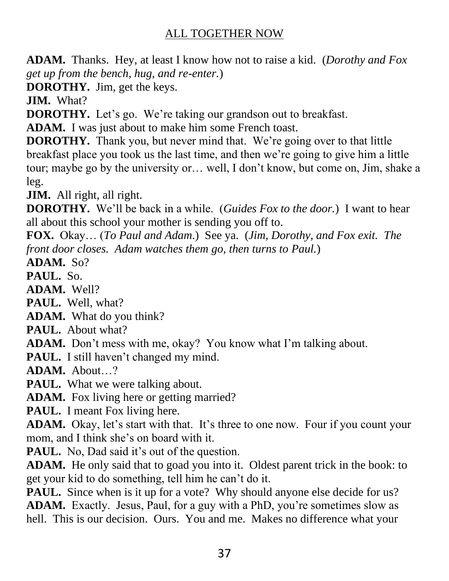**ADAM.** Thanks. Hey, at least I know how not to raise a kid. (*Dorothy and Fox get up from the bench, hug, and re-enter.*)

**DOROTHY.** Jim, get the keys.

**JIM.** What?

**DOROTHY.** Let's go. We're taking our grandson out to breakfast.

**ADAM.** I was just about to make him some French toast.

**DOROTHY.** Thank you, but never mind that. We're going over to that little breakfast place you took us the last time, and then we're going to give him a little tour; maybe go by the university or… well, I don't know, but come on, Jim, shake a leg.

**JIM.** All right, all right.

**DOROTHY.** We'll be back in a while. (*Guides Fox to the door.*) I want to hear all about this school your mother is sending you off to.

**FOX.** Okay… (*To Paul and Adam*.) See ya. (*Jim, Dorothy, and Fox exit. The front door closes. Adam watches them go, then turns to Paul.*)

**ADAM.** So?

**PAUL.** So.

**ADAM.** Well?

**PAUL.** Well, what?

**ADAM.** What do you think?

**PAUL.** About what?

**ADAM.** Don't mess with me, okay? You know what I'm talking about.

**PAUL.** I still haven't changed my mind.

**ADAM.** About…?

**PAUL.** What we were talking about.

**ADAM.** Fox living here or getting married?

**PAUL.** I meant Fox living here.

**ADAM.** Okay, let's start with that. It's three to one now. Four if you count your mom, and I think she's on board with it.

**PAUL.** No, Dad said it's out of the question.

**ADAM.** He only said that to goad you into it. Oldest parent trick in the book: to get your kid to do something, tell him he can't do it.

**PAUL.** Since when is it up for a vote? Why should anyone else decide for us? **ADAM.** Exactly. Jesus, Paul, for a guy with a PhD, you're sometimes slow as hell. This is our decision. Ours. You and me. Makes no difference what your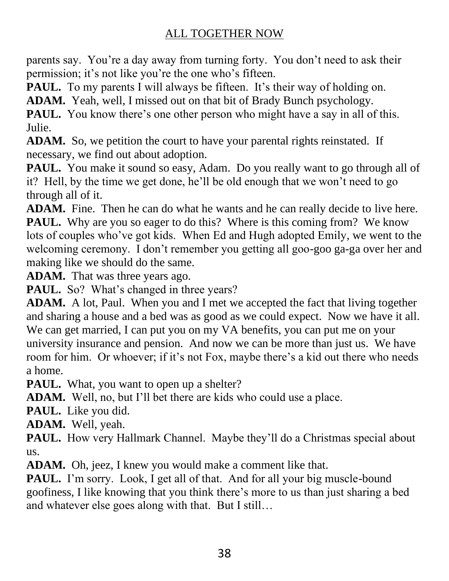parents say. You're a day away from turning forty. You don't need to ask their permission; it's not like you're the one who's fifteen.

**PAUL.** To my parents I will always be fifteen. It's their way of holding on.

**ADAM.** Yeah, well, I missed out on that bit of Brady Bunch psychology.

**PAUL.** You know there's one other person who might have a say in all of this. Julie.

**ADAM.** So, we petition the court to have your parental rights reinstated. If necessary, we find out about adoption.

**PAUL.** You make it sound so easy, Adam. Do you really want to go through all of it? Hell, by the time we get done, he'll be old enough that we won't need to go through all of it.

**ADAM.** Fine. Then he can do what he wants and he can really decide to live here. **PAUL.** Why are you so eager to do this? Where is this coming from? We know lots of couples who've got kids. When Ed and Hugh adopted Emily, we went to the welcoming ceremony. I don't remember you getting all goo-goo ga-ga over her and making like we should do the same.

**ADAM.** That was three years ago.

**PAUL.** So? What's changed in three years?

**ADAM.** A lot, Paul. When you and I met we accepted the fact that living together and sharing a house and a bed was as good as we could expect. Now we have it all. We can get married, I can put you on my VA benefits, you can put me on your university insurance and pension. And now we can be more than just us. We have room for him. Or whoever; if it's not Fox, maybe there's a kid out there who needs a home.

**PAUL.** What, you want to open up a shelter?

**ADAM.** Well, no, but I'll bet there are kids who could use a place.

**PAUL.** Like you did.

**ADAM.** Well, yeah.

**PAUL.** How very Hallmark Channel. Maybe they'll do a Christmas special about us.

**ADAM.** Oh, jeez, I knew you would make a comment like that.

**PAUL.** I'm sorry. Look, I get all of that. And for all your big muscle-bound goofiness, I like knowing that you think there's more to us than just sharing a bed and whatever else goes along with that. But I still…